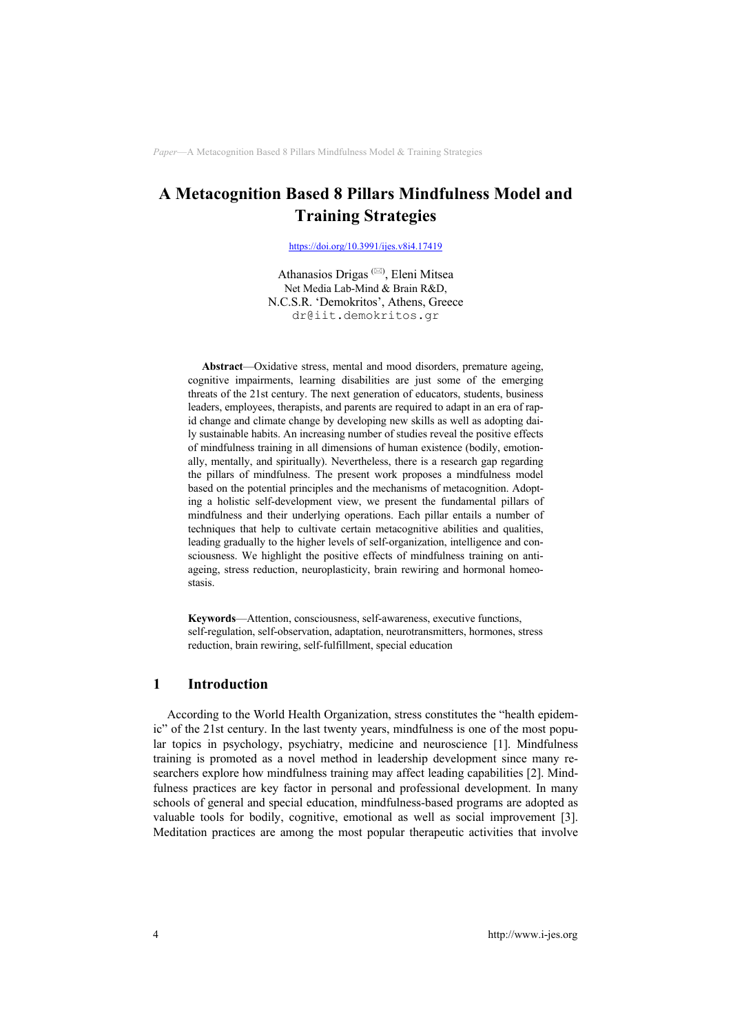https://doi.org/10.3991/ijes.v8i4.17419

Athanasios Drigas<sup>(⊠)</sup>, Eleni Mitsea Net Media Lab-Mind & Brain R&D, N.C.S.R. 'Demokritos', Athens, Greece dr@iit.demokritos.gr

**Abstract**—Oxidative stress, mental and mood disorders, premature ageing, cognitive impairments, learning disabilities are just some of the emerging threats of the 21st century. The next generation of educators, students, business leaders, employees, therapists, and parents are required to adapt in an era of rapid change and climate change by developing new skills as well as adopting daily sustainable habits. An increasing number of studies reveal the positive effects of mindfulness training in all dimensions of human existence (bodily, emotionally, mentally, and spiritually). Nevertheless, there is a research gap regarding the pillars of mindfulness. The present work proposes a mindfulness model based on the potential principles and the mechanisms of metacognition. Adopting a holistic self-development view, we present the fundamental pillars of mindfulness and their underlying operations. Each pillar entails a number of techniques that help to cultivate certain metacognitive abilities and qualities, leading gradually to the higher levels of self-organization, intelligence and consciousness. We highlight the positive effects of mindfulness training on antiageing, stress reduction, neuroplasticity, brain rewiring and hormonal homeostasis.

**Keywords**—Attention, consciousness, self-awareness, executive functions, self-regulation, self-observation, adaptation, neurotransmitters, hormones, stress reduction, brain rewiring, self-fulfillment, special education

## **1 Introduction**

According to the World Health Organization, stress constitutes the "health epidemic" of the 21st century. In the last twenty years, mindfulness is one of the most popular topics in psychology, psychiatry, medicine and neuroscience [1]. Mindfulness training is promoted as a novel method in leadership development since many researchers explore how mindfulness training may affect leading capabilities [2]. Mindfulness practices are key factor in personal and professional development. In many schools of general and special education, mindfulness-based programs are adopted as valuable tools for bodily, cognitive, emotional as well as social improvement [3]. Meditation practices are among the most popular therapeutic activities that involve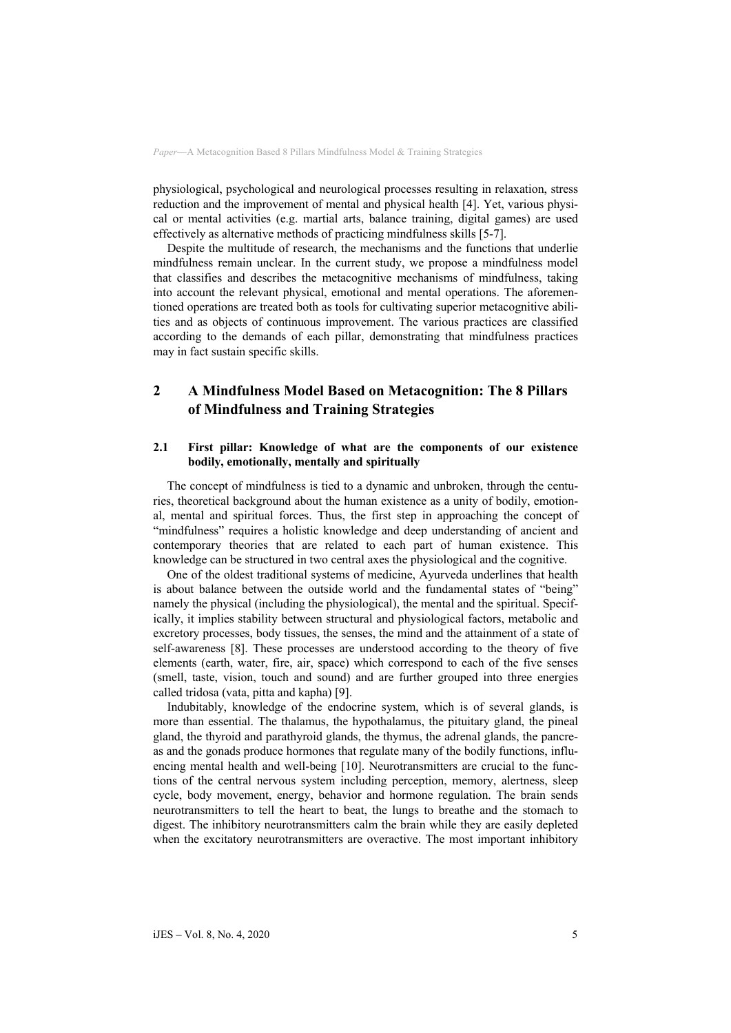physiological, psychological and neurological processes resulting in relaxation, stress reduction and the improvement of mental and physical health [4]. Yet, various physical or mental activities (e.g. martial arts, balance training, digital games) are used effectively as alternative methods of practicing mindfulness skills [5-7].

Despite the multitude of research, the mechanisms and the functions that underlie mindfulness remain unclear. In the current study, we propose a mindfulness model that classifies and describes the metacognitive mechanisms of mindfulness, taking into account the relevant physical, emotional and mental operations. The aforementioned operations are treated both as tools for cultivating superior metacognitive abilities and as objects of continuous improvement. The various practices are classified according to the demands of each pillar, demonstrating that mindfulness practices may in fact sustain specific skills.

# **2 A Mindfulness Model Based on Metacognition: The 8 Pillars of Mindfulness and Training Strategies**

#### **2.1 First pillar: Knowledge of what are the components of our existence bodily, emotionally, mentally and spiritually**

The concept of mindfulness is tied to a dynamic and unbroken, through the centuries, theoretical background about the human existence as a unity of bodily, emotional, mental and spiritual forces. Thus, the first step in approaching the concept of "mindfulness" requires a holistic knowledge and deep understanding of ancient and contemporary theories that are related to each part of human existence. This knowledge can be structured in two central axes the physiological and the cognitive.

One of the oldest traditional systems of medicine, Ayurveda underlines that health is about balance between the outside world and the fundamental states of "being" namely the physical (including the physiological), the mental and the spiritual. Specifically, it implies stability between structural and physiological factors, metabolic and excretory processes, body tissues, the senses, the mind and the attainment of a state of self-awareness [8]. These processes are understood according to the theory of five elements (earth, water, fire, air, space) which correspond to each of the five senses (smell, taste, vision, touch and sound) and are further grouped into three energies called tridosa (vata, pitta and kapha) [9].

Indubitably, knowledge of the endocrine system, which is of several glands, is more than essential. The thalamus, the hypothalamus, the pituitary gland, the pineal gland, the thyroid and parathyroid glands, the thymus, the adrenal glands, the pancreas and the gonads produce hormones that regulate many of the bodily functions, influencing mental health and well-being [10]. Neurotransmitters are crucial to the functions of the central nervous system including perception, memory, alertness, sleep cycle, body movement, energy, behavior and hormone regulation. The brain sends neurotransmitters to tell the heart to beat, the lungs to breathe and the stomach to digest. The inhibitory neurotransmitters calm the brain while they are easily depleted when the excitatory neurotransmitters are overactive. The most important inhibitory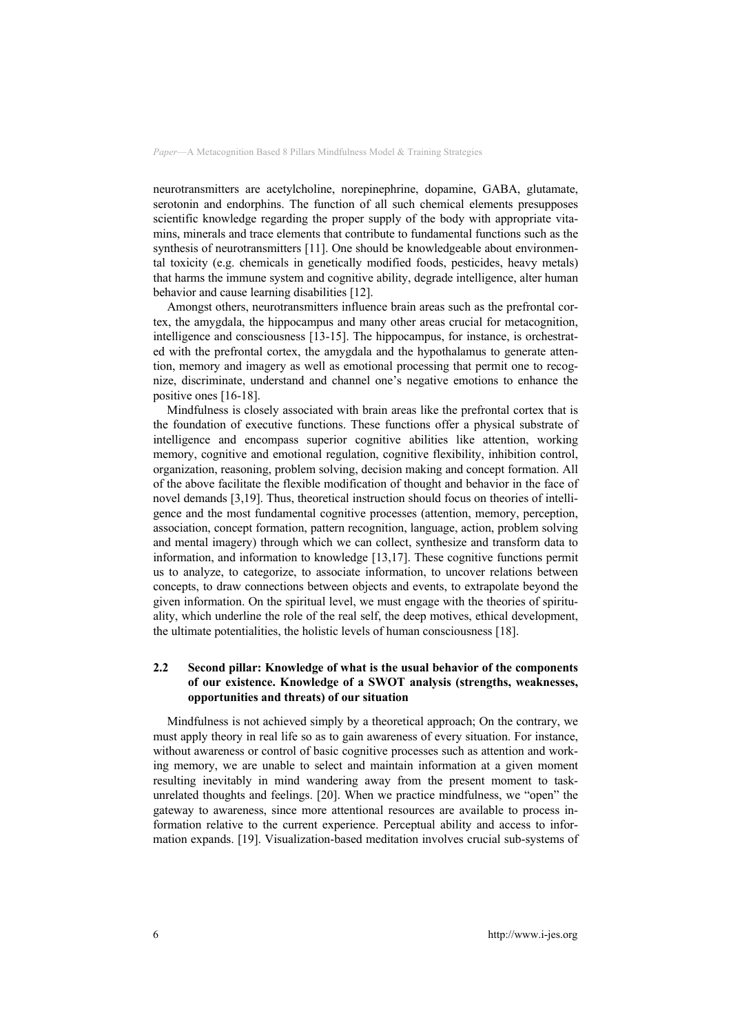neurotransmitters are acetylcholine, norepinephrine, dopamine, GABA, glutamate, serotonin and endorphins. The function of all such chemical elements presupposes scientific knowledge regarding the proper supply of the body with appropriate vitamins, minerals and trace elements that contribute to fundamental functions such as the synthesis of neurotransmitters [11]. One should be knowledgeable about environmental toxicity (e.g. chemicals in genetically modified foods, pesticides, heavy metals) that harms the immune system and cognitive ability, degrade intelligence, alter human behavior and cause learning disabilities [12].

Amongst others, neurotransmitters influence brain areas such as the prefrontal cortex, the amygdala, the hippocampus and many other areas crucial for metacognition, intelligence and consciousness [13-15]. The hippocampus, for instance, is orchestrated with the prefrontal cortex, the amygdala and the hypothalamus to generate attention, memory and imagery as well as emotional processing that permit one to recognize, discriminate, understand and channel one's negative emotions to enhance the positive ones [16-18].

Mindfulness is closely associated with brain areas like the prefrontal cortex that is the foundation of executive functions. These functions offer a physical substrate of intelligence and encompass superior cognitive abilities like attention, working memory, cognitive and emotional regulation, cognitive flexibility, inhibition control, organization, reasoning, problem solving, decision making and concept formation. All of the above facilitate the flexible modification of thought and behavior in the face of novel demands [3,19]. Thus, theoretical instruction should focus on theories of intelligence and the most fundamental cognitive processes (attention, memory, perception, association, concept formation, pattern recognition, language, action, problem solving and mental imagery) through which we can collect, synthesize and transform data to information, and information to knowledge [13,17]. These cognitive functions permit us to analyze, to categorize, to associate information, to uncover relations between concepts, to draw connections between objects and events, to extrapolate beyond the given information. On the spiritual level, we must engage with the theories of spirituality, which underline the role of the real self, the deep motives, ethical development, the ultimate potentialities, the holistic levels of human consciousness [18].

#### **2.2 Second pillar: Knowledge of what is the usual behavior of the components of our existence. Knowledge of a SWOT analysis (strengths, weaknesses, opportunities and threats) of our situation**

Mindfulness is not achieved simply by a theoretical approach; On the contrary, we must apply theory in real life so as to gain awareness of every situation. For instance, without awareness or control of basic cognitive processes such as attention and working memory, we are unable to select and maintain information at a given moment resulting inevitably in mind wandering away from the present moment to taskunrelated thoughts and feelings. [20]. When we practice mindfulness, we "open" the gateway to awareness, since more attentional resources are available to process information relative to the current experience. Perceptual ability and access to information expands. [19]. Visualization-based meditation involves crucial sub-systems of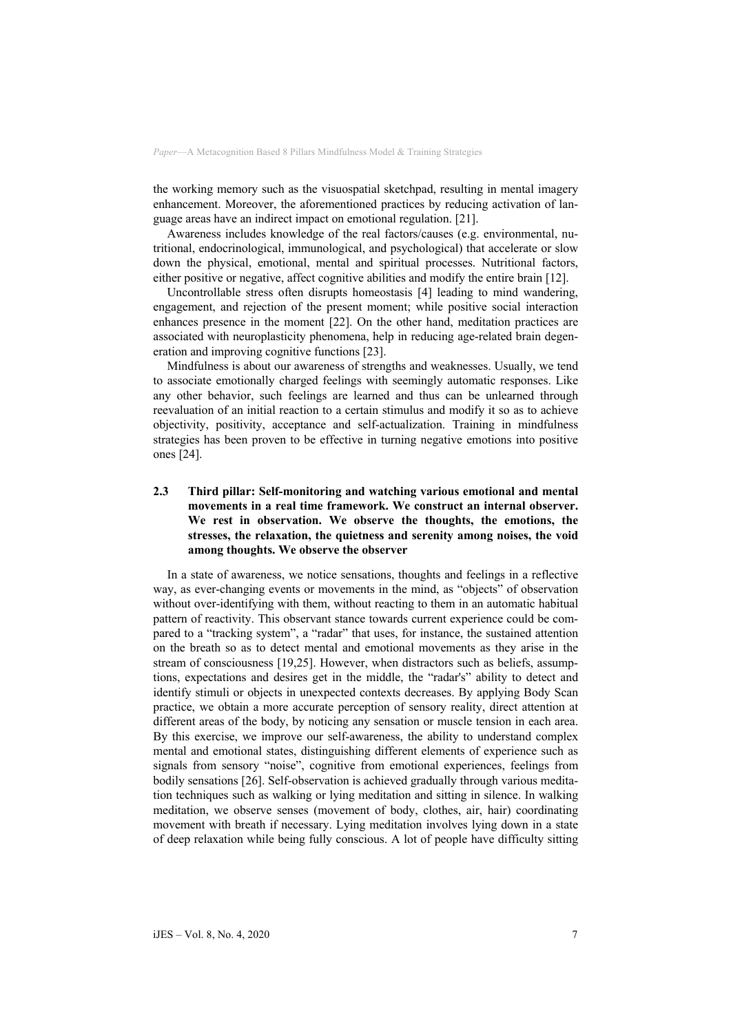the working memory such as the visuospatial sketchpad, resulting in mental imagery enhancement. Moreover, the aforementioned practices by reducing activation of language areas have an indirect impact on emotional regulation. [21].

Awareness includes knowledge of the real factors/causes (e.g. environmental, nutritional, endocrinological, immunological, and psychological) that accelerate or slow down the physical, emotional, mental and spiritual processes. Nutritional factors, either positive or negative, affect cognitive abilities and modify the entire brain [12].

Uncontrollable stress often disrupts homeostasis [4] leading to mind wandering, engagement, and rejection of the present moment; while positive social interaction enhances presence in the moment [22]. On the other hand, meditation practices are associated with neuroplasticity phenomena, help in reducing age-related brain degeneration and improving cognitive functions [23].

Mindfulness is about our awareness of strengths and weaknesses. Usually, we tend to associate emotionally charged feelings with seemingly automatic responses. Like any other behavior, such feelings are learned and thus can be unlearned through reevaluation of an initial reaction to a certain stimulus and modify it so as to achieve objectivity, positivity, acceptance and self-actualization. Training in mindfulness strategies has been proven to be effective in turning negative emotions into positive ones [24].

# **2.3 Third pillar: Self-monitoring and watching various emotional and mental movements in a real time framework. We construct an internal observer. We rest in observation. We observe the thoughts, the emotions, the stresses, the relaxation, the quietness and serenity among noises, the void among thoughts. We observe the observer**

In a state of awareness, we notice sensations, thoughts and feelings in a reflective way, as ever-changing events or movements in the mind, as "objects" of observation without over-identifying with them, without reacting to them in an automatic habitual pattern of reactivity. This observant stance towards current experience could be compared to a "tracking system", a "radar" that uses, for instance, the sustained attention on the breath so as to detect mental and emotional movements as they arise in the stream of consciousness [19,25]. However, when distractors such as beliefs, assumptions, expectations and desires get in the middle, the "radar's" ability to detect and identify stimuli or objects in unexpected contexts decreases. By applying Body Scan practice, we obtain a more accurate perception of sensory reality, direct attention at different areas of the body, by noticing any sensation or muscle tension in each area. By this exercise, we improve our self-awareness, the ability to understand complex mental and emotional states, distinguishing different elements of experience such as signals from sensory "noise", cognitive from emotional experiences, feelings from bodily sensations [26]. Self-observation is achieved gradually through various meditation techniques such as walking or lying meditation and sitting in silence. In walking meditation, we observe senses (movement of body, clothes, air, hair) coordinating movement with breath if necessary. Lying meditation involves lying down in a state of deep relaxation while being fully conscious. A lot of people have difficulty sitting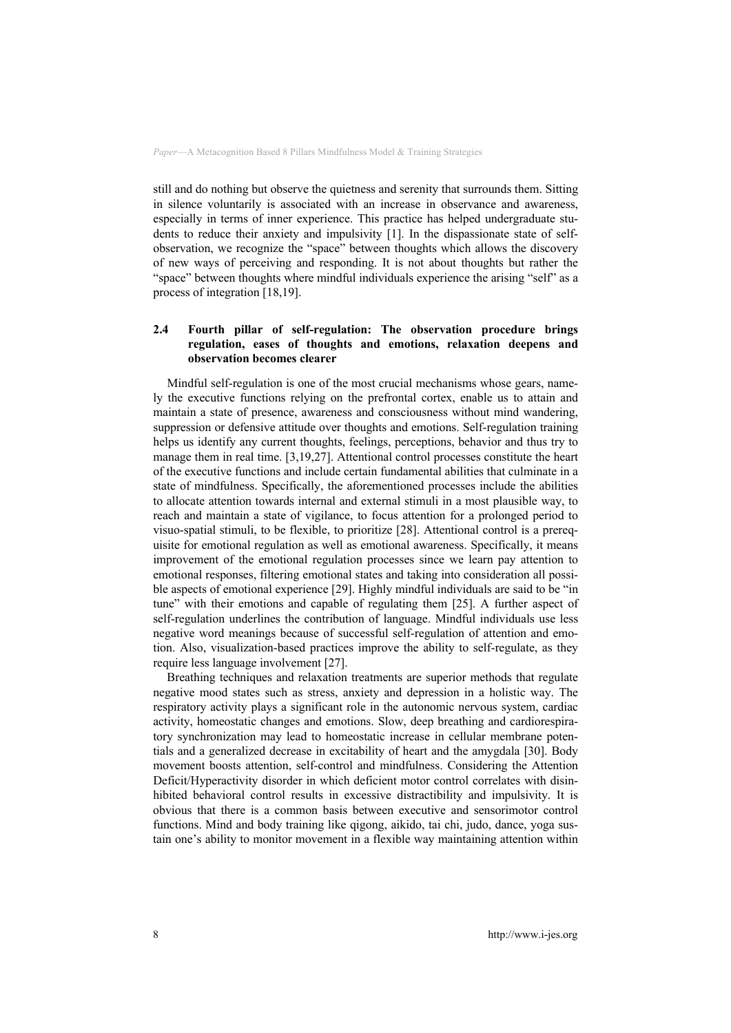still and do nothing but observe the quietness and serenity that surrounds them. Sitting in silence voluntarily is associated with an increase in observance and awareness, especially in terms of inner experience. This practice has helped undergraduate students to reduce their anxiety and impulsivity [1]. In the dispassionate state of selfobservation, we recognize the "space" between thoughts which allows the discovery of new ways of perceiving and responding. It is not about thoughts but rather the "space" between thoughts where mindful individuals experience the arising "self" as a process of integration [18,19].

# **2.4 Fourth pillar of self-regulation: The observation procedure brings regulation, eases of thoughts and emotions, relaxation deepens and observation becomes clearer**

Mindful self-regulation is one of the most crucial mechanisms whose gears, namely the executive functions relying on the prefrontal cortex, enable us to attain and maintain a state of presence, awareness and consciousness without mind wandering, suppression or defensive attitude over thoughts and emotions. Self-regulation training helps us identify any current thoughts, feelings, perceptions, behavior and thus try to manage them in real time. [3,19,27]. Attentional control processes constitute the heart of the executive functions and include certain fundamental abilities that culminate in a state of mindfulness. Specifically, the aforementioned processes include the abilities to allocate attention towards internal and external stimuli in a most plausible way, to reach and maintain a state of vigilance, to focus attention for a prolonged period to visuo-spatial stimuli, to be flexible, to prioritize [28]. Attentional control is a prerequisite for emotional regulation as well as emotional awareness. Specifically, it means improvement of the emotional regulation processes since we learn pay attention to emotional responses, filtering emotional states and taking into consideration all possible aspects of emotional experience [29]. Highly mindful individuals are said to be "in tune" with their emotions and capable of regulating them [25]. A further aspect of self-regulation underlines the contribution of language. Mindful individuals use less negative word meanings because of successful self-regulation of attention and emotion. Also, visualization-based practices improve the ability to self-regulate, as they require less language involvement [27].

Breathing techniques and relaxation treatments are superior methods that regulate negative mood states such as stress, anxiety and depression in a holistic way. The respiratory activity plays a significant role in the autonomic nervous system, cardiac activity, homeostatic changes and emotions. Slow, deep breathing and cardiorespiratory synchronization may lead to homeostatic increase in cellular membrane potentials and a generalized decrease in excitability of heart and the amygdala [30]. Body movement boosts attention, self-control and mindfulness. Considering the Attention Deficit/Hyperactivity disorder in which deficient motor control correlates with disinhibited behavioral control results in excessive distractibility and impulsivity. It is obvious that there is a common basis between executive and sensorimotor control functions. Mind and body training like qigong, aikido, tai chi, judo, dance, yoga sustain one's ability to monitor movement in a flexible way maintaining attention within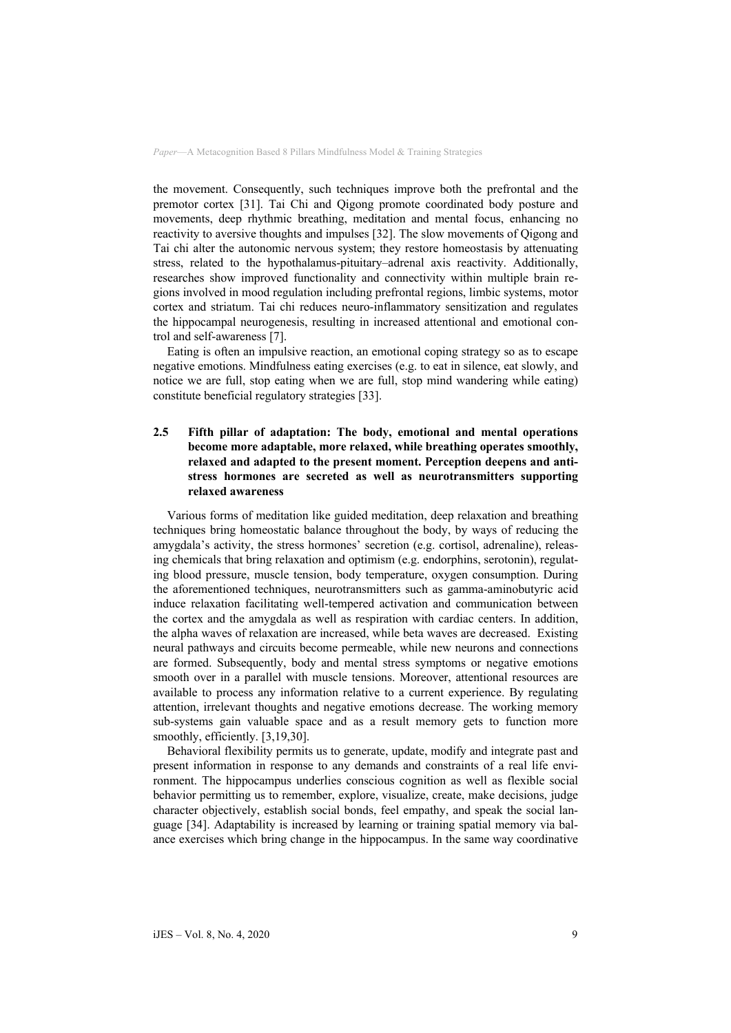the movement. Consequently, such techniques improve both the prefrontal and the premotor cortex [31]. Tai Chi and Qigong promote coordinated body posture and movements, deep rhythmic breathing, meditation and mental focus, enhancing no reactivity to aversive thoughts and impulses [32]. The slow movements of Qigong and Tai chi alter the autonomic nervous system; they restore homeostasis by attenuating stress, related to the hypothalamus-pituitary–adrenal axis reactivity. Additionally, researches show improved functionality and connectivity within multiple brain regions involved in mood regulation including prefrontal regions, limbic systems, motor cortex and striatum. Tai chi reduces neuro-inflammatory sensitization and regulates the hippocampal neurogenesis, resulting in increased attentional and emotional control and self-awareness [7].

Eating is often an impulsive reaction, an emotional coping strategy so as to escape negative emotions. Mindfulness eating exercises (e.g. to eat in silence, eat slowly, and notice we are full, stop eating when we are full, stop mind wandering while eating) constitute beneficial regulatory strategies [33].

#### **2.5 Fifth pillar of adaptation: The body, emotional and mental operations become more adaptable, more relaxed, while breathing operates smoothly, relaxed and adapted to the present moment. Perception deepens and antistress hormones are secreted as well as neurotransmitters supporting relaxed awareness**

Various forms of meditation like guided meditation, deep relaxation and breathing techniques bring homeostatic balance throughout the body, by ways of reducing the amygdala's activity, the stress hormones' secretion (e.g. cortisol, adrenaline), releasing chemicals that bring relaxation and optimism (e.g. endorphins, serotonin), regulating blood pressure, muscle tension, body temperature, oxygen consumption. During the aforementioned techniques, neurotransmitters such as gamma-aminobutyric acid induce relaxation facilitating well-tempered activation and communication between the cortex and the amygdala as well as respiration with cardiac centers. In addition, the alpha waves of relaxation are increased, while beta waves are decreased. Existing neural pathways and circuits become permeable, while new neurons and connections are formed. Subsequently, body and mental stress symptoms or negative emotions smooth over in a parallel with muscle tensions. Moreover, attentional resources are available to process any information relative to a current experience. By regulating attention, irrelevant thoughts and negative emotions decrease. The working memory sub-systems gain valuable space and as a result memory gets to function more smoothly, efficiently. [3,19,30].

Behavioral flexibility permits us to generate, update, modify and integrate past and present information in response to any demands and constraints of a real life environment. The hippocampus underlies conscious cognition as well as flexible social behavior permitting us to remember, explore, visualize, create, make decisions, judge character objectively, establish social bonds, feel empathy, and speak the social language [34]. Adaptability is increased by learning or training spatial memory via balance exercises which bring change in the hippocampus. In the same way coordinative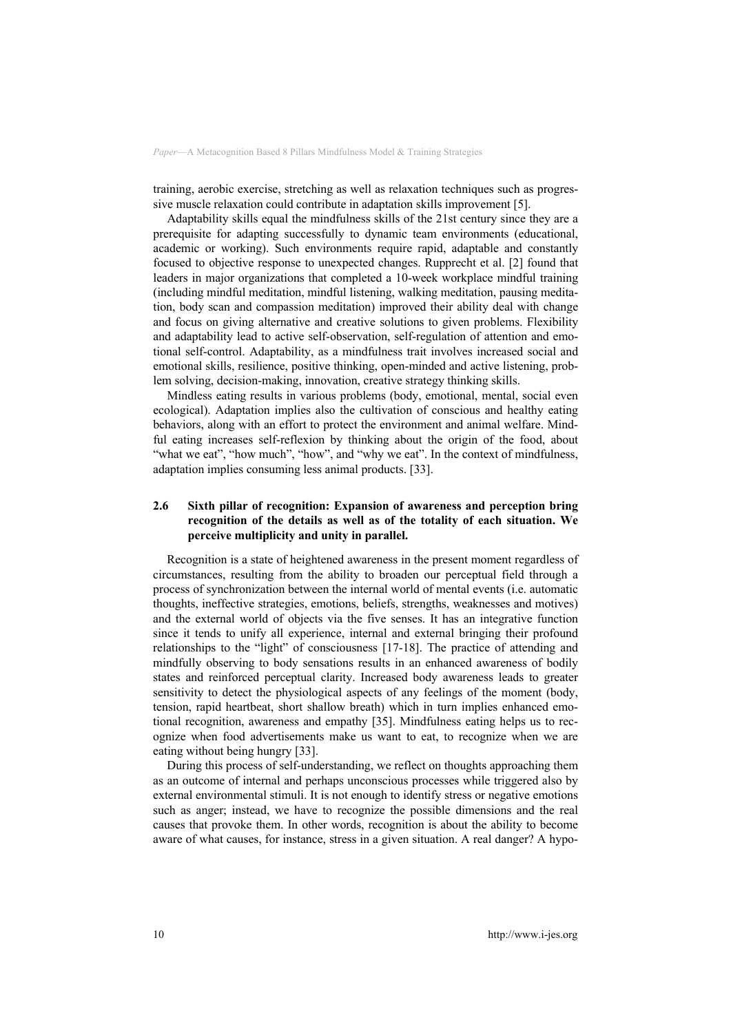training, aerobic exercise, stretching as well as relaxation techniques such as progressive muscle relaxation could contribute in adaptation skills improvement [5].

Adaptability skills equal the mindfulness skills of the 21st century since they are a prerequisite for adapting successfully to dynamic team environments (educational, academic or working). Such environments require rapid, adaptable and constantly focused to objective response to unexpected changes. Rupprecht et al. [2] found that leaders in major organizations that completed a 10-week workplace mindful training (including mindful meditation, mindful listening, walking meditation, pausing meditation, body scan and compassion meditation) improved their ability deal with change and focus on giving alternative and creative solutions to given problems. Flexibility and adaptability lead to active self-observation, self-regulation of attention and emotional self-control. Adaptability, as a mindfulness trait involves increased social and emotional skills, resilience, positive thinking, open-minded and active listening, problem solving, decision-making, innovation, creative strategy thinking skills.

Mindless eating results in various problems (body, emotional, mental, social even ecological). Adaptation implies also the cultivation of conscious and healthy eating behaviors, along with an effort to protect the environment and animal welfare. Mindful eating increases self-reflexion by thinking about the origin of the food, about "what we eat", "how much", "how", and "why we eat". In the context of mindfulness, adaptation implies consuming less animal products. [33].

#### **2.6 Sixth pillar of recognition: Expansion of awareness and perception bring recognition of the details as well as of the totality of each situation. We perceive multiplicity and unity in parallel.**

Recognition is a state of heightened awareness in the present moment regardless of circumstances, resulting from the ability to broaden our perceptual field through a process of synchronization between the internal world of mental events (i.e. automatic thoughts, ineffective strategies, emotions, beliefs, strengths, weaknesses and motives) and the external world of objects via the five senses. It has an integrative function since it tends to unify all experience, internal and external bringing their profound relationships to the "light" of consciousness [17-18]. The practice of attending and mindfully observing to body sensations results in an enhanced awareness of bodily states and reinforced perceptual clarity. Increased body awareness leads to greater sensitivity to detect the physiological aspects of any feelings of the moment (body, tension, rapid heartbeat, short shallow breath) which in turn implies enhanced emotional recognition, awareness and empathy [35]. Mindfulness eating helps us to recognize when food advertisements make us want to eat, to recognize when we are eating without being hungry [33].

During this process of self-understanding, we reflect on thoughts approaching them as an outcome of internal and perhaps unconscious processes while triggered also by external environmental stimuli. It is not enough to identify stress or negative emotions such as anger; instead, we have to recognize the possible dimensions and the real causes that provoke them. In other words, recognition is about the ability to become aware of what causes, for instance, stress in a given situation. A real danger? A hypo-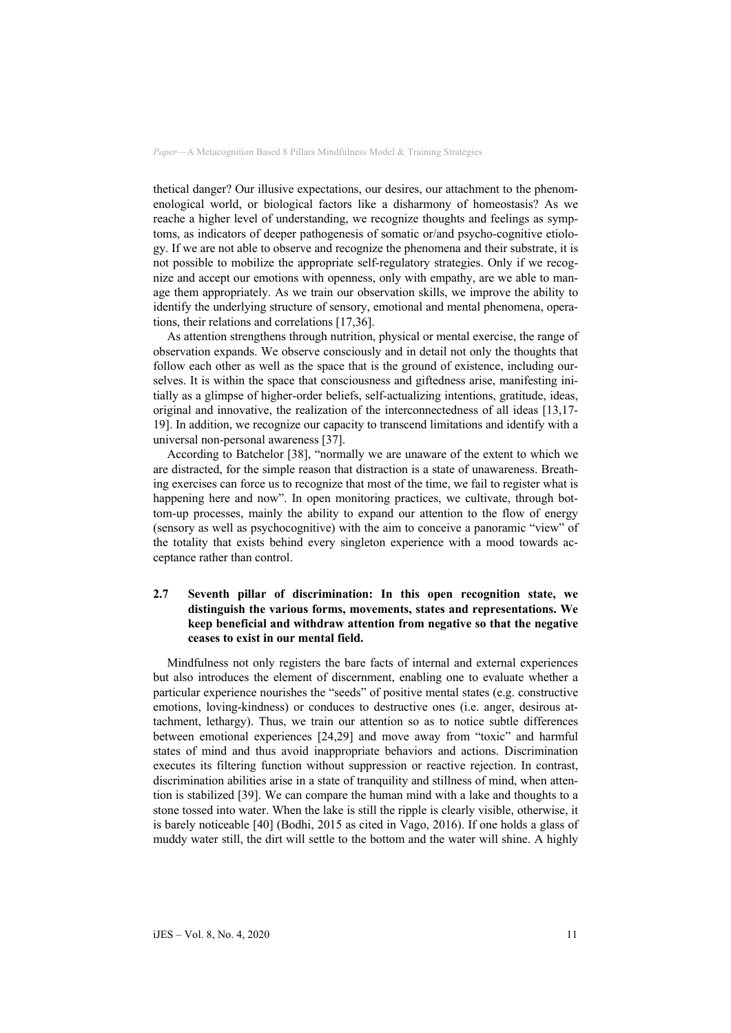thetical danger? Our illusive expectations, our desires, our attachment to the phenomenological world, or biological factors like a disharmony of homeostasis? As we reache a higher level of understanding, we recognize thoughts and feelings as symptoms, as indicators of deeper pathogenesis of somatic or/and psycho-cognitive etiology. If we are not able to observe and recognize the phenomena and their substrate, it is not possible to mobilize the appropriate self-regulatory strategies. Only if we recognize and accept our emotions with openness, only with empathy, are we able to manage them appropriately. As we train our observation skills, we improve the ability to identify the underlying structure of sensory, emotional and mental phenomena, operations, their relations and correlations [17,36].

As attention strengthens through nutrition, physical or mental exercise, the range of observation expands. We observe consciously and in detail not only the thoughts that follow each other as well as the space that is the ground of existence, including ourselves. It is within the space that consciousness and giftedness arise, manifesting initially as a glimpse of higher-order beliefs, self-actualizing intentions, gratitude, ideas, original and innovative, the realization of the interconnectedness of all ideas [13,17- 19]. In addition, we recognize our capacity to transcend limitations and identify with a universal non-personal awareness [37].

According to Batchelor [38], "normally we are unaware of the extent to which we are distracted, for the simple reason that distraction is a state of unawareness. Breathing exercises can force us to recognize that most of the time, we fail to register what is happening here and now". In open monitoring practices, we cultivate, through bottom-up processes, mainly the ability to expand our attention to the flow of energy (sensory as well as psychocognitive) with the aim to conceive a panoramic "view" of the totality that exists behind every singleton experience with a mood towards acceptance rather than control.

#### **2.7 Seventh pillar of discrimination: In this open recognition state, we distinguish the various forms, movements, states and representations. We keep beneficial and withdraw attention from negative so that the negative ceases to exist in our mental field.**

Mindfulness not only registers the bare facts of internal and external experiences but also introduces the element of discernment, enabling one to evaluate whether a particular experience nourishes the "seeds" of positive mental states (e.g. constructive emotions, loving-kindness) or conduces to destructive ones (i.e. anger, desirous attachment, lethargy). Thus, we train our attention so as to notice subtle differences between emotional experiences [24,29] and move away from "toxic" and harmful states of mind and thus avoid inappropriate behaviors and actions. Discrimination executes its filtering function without suppression or reactive rejection. In contrast, discrimination abilities arise in a state of tranquility and stillness of mind, when attention is stabilized [39]. We can compare the human mind with a lake and thoughts to a stone tossed into water. When the lake is still the ripple is clearly visible, otherwise, it is barely noticeable [40] (Bodhi, 2015 as cited in Vago, 2016). If one holds a glass of muddy water still, the dirt will settle to the bottom and the water will shine. A highly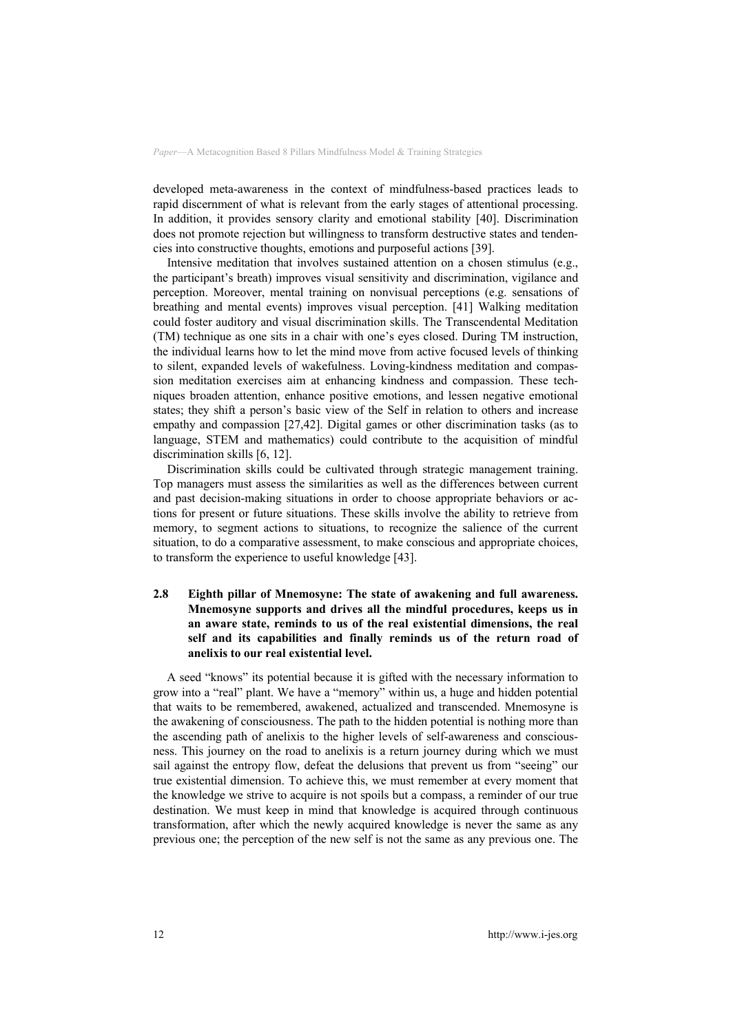developed meta-awareness in the context of mindfulness-based practices leads to rapid discernment of what is relevant from the early stages of attentional processing. In addition, it provides sensory clarity and emotional stability [40]. Discrimination does not promote rejection but willingness to transform destructive states and tendencies into constructive thoughts, emotions and purposeful actions [39].

Intensive meditation that involves sustained attention on a chosen stimulus (e.g., the participant's breath) improves visual sensitivity and discrimination, vigilance and perception. Moreover, mental training on nonvisual perceptions (e.g. sensations of breathing and mental events) improves visual perception. [41] Walking meditation could foster auditory and visual discrimination skills. The Transcendental Meditation (TM) technique as one sits in a chair with one's eyes closed. During TM instruction, the individual learns how to let the mind move from active focused levels of thinking to silent, expanded levels of wakefulness. Loving-kindness meditation and compassion meditation exercises aim at enhancing kindness and compassion. These techniques broaden attention, enhance positive emotions, and lessen negative emotional states; they shift a person's basic view of the Self in relation to others and increase empathy and compassion [27,42]. Digital games or other discrimination tasks (as to language, STEM and mathematics) could contribute to the acquisition of mindful discrimination skills [6, 12].

Discrimination skills could be cultivated through strategic management training. Top managers must assess the similarities as well as the differences between current and past decision-making situations in order to choose appropriate behaviors or actions for present or future situations. These skills involve the ability to retrieve from memory, to segment actions to situations, to recognize the salience of the current situation, to do a comparative assessment, to make conscious and appropriate choices, to transform the experience to useful knowledge [43].

#### **2.8 Eighth pillar of Mnemosyne: The state of awakening and full awareness. Mnemosyne supports and drives all the mindful procedures, keeps us in an aware state, reminds to us of the real existential dimensions, the real self and its capabilities and finally reminds us of the return road of anelixis to our real existential level.**

A seed "knows" its potential because it is gifted with the necessary information to grow into a "real" plant. We have a "memory" within us, a huge and hidden potential that waits to be remembered, awakened, actualized and transcended. Mnemosyne is the awakening of consciousness. The path to the hidden potential is nothing more than the ascending path of anelixis to the higher levels of self-awareness and consciousness. This journey on the road to anelixis is a return journey during which we must sail against the entropy flow, defeat the delusions that prevent us from "seeing" our true existential dimension. To achieve this, we must remember at every moment that the knowledge we strive to acquire is not spoils but a compass, a reminder of our true destination. We must keep in mind that knowledge is acquired through continuous transformation, after which the newly acquired knowledge is never the same as any previous one; the perception of the new self is not the same as any previous one. The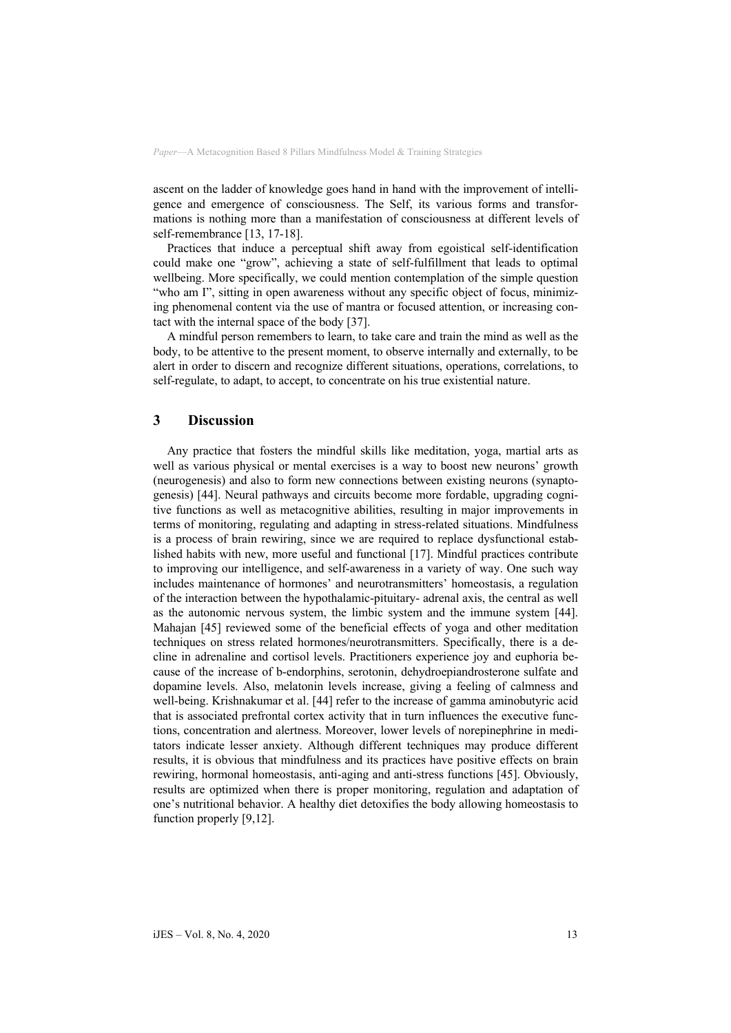ascent on the ladder of knowledge goes hand in hand with the improvement of intelligence and emergence of consciousness. The Self, its various forms and transformations is nothing more than a manifestation of consciousness at different levels of self-remembrance [13, 17-18].

Practices that induce a perceptual shift away from egoistical self-identification could make one "grow", achieving a state of self-fulfillment that leads to optimal wellbeing. More specifically, we could mention contemplation of the simple question "who am I", sitting in open awareness without any specific object of focus, minimizing phenomenal content via the use of mantra or focused attention, or increasing contact with the internal space of the body [37].

A mindful person remembers to learn, to take care and train the mind as well as the body, to be attentive to the present moment, to observe internally and externally, to be alert in order to discern and recognize different situations, operations, correlations, to self-regulate, to adapt, to accept, to concentrate on his true existential nature.

## **3 Discussion**

Any practice that fosters the mindful skills like meditation, yoga, martial arts as well as various physical or mental exercises is a way to boost new neurons' growth (neurogenesis) and also to form new connections between existing neurons (synaptogenesis) [44]. Neural pathways and circuits become more fordable, upgrading cognitive functions as well as metacognitive abilities, resulting in major improvements in terms of monitoring, regulating and adapting in stress-related situations. Mindfulness is a process of brain rewiring, since we are required to replace dysfunctional established habits with new, more useful and functional [17]. Mindful practices contribute to improving our intelligence, and self-awareness in a variety of way. One such way includes maintenance of hormones' and neurotransmitters' homeostasis, a regulation of the interaction between the hypothalamic-pituitary- adrenal axis, the central as well as the autonomic nervous system, the limbic system and the immune system [44]. Mahajan [45] reviewed some of the beneficial effects of yoga and other meditation techniques on stress related hormones/neurotransmitters. Specifically, there is a decline in adrenaline and cortisol levels. Practitioners experience joy and euphoria because of the increase of b-endorphins, serotonin, dehydroepiandrosterone sulfate and dopamine levels. Also, melatonin levels increase, giving a feeling of calmness and well-being. Krishnakumar et al. [44] refer to the increase of gamma aminobutyric acid that is associated prefrontal cortex activity that in turn influences the executive functions, concentration and alertness. Moreover, lower levels of norepinephrine in meditators indicate lesser anxiety. Although different techniques may produce different results, it is obvious that mindfulness and its practices have positive effects on brain rewiring, hormonal homeostasis, anti-aging and anti-stress functions [45]. Obviously, results are optimized when there is proper monitoring, regulation and adaptation of one's nutritional behavior. A healthy diet detoxifies the body allowing homeostasis to function properly [9,12].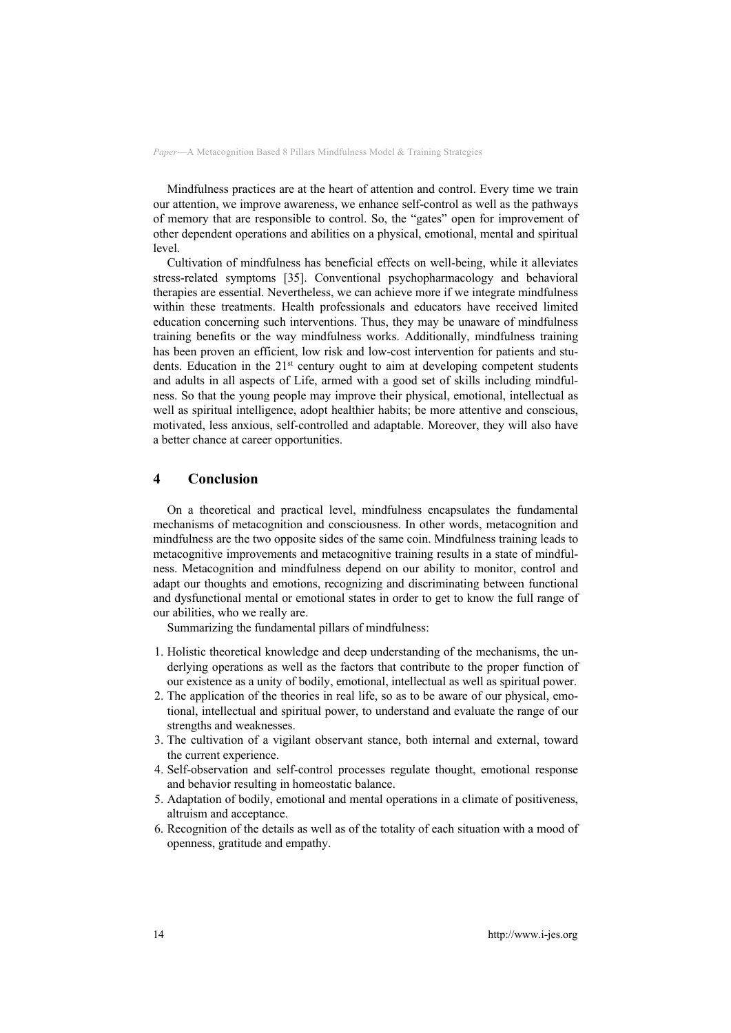Mindfulness practices are at the heart of attention and control. Every time we train our attention, we improve awareness, we enhance self-control as well as the pathways of memory that are responsible to control. So, the "gates" open for improvement of other dependent operations and abilities on a physical, emotional, mental and spiritual level.

Cultivation of mindfulness has beneficial effects on well-being, while it alleviates stress-related symptoms [35]. Conventional psychopharmacology and behavioral therapies are essential. Nevertheless, we can achieve more if we integrate mindfulness within these treatments. Health professionals and educators have received limited education concerning such interventions. Thus, they may be unaware of mindfulness training benefits or the way mindfulness works. Additionally, mindfulness training has been proven an efficient, low risk and low-cost intervention for patients and students. Education in the  $21<sup>st</sup>$  century ought to aim at developing competent students and adults in all aspects of Life, armed with a good set of skills including mindfulness. So that the young people may improve their physical, emotional, intellectual as well as spiritual intelligence, adopt healthier habits; be more attentive and conscious, motivated, less anxious, self-controlled and adaptable. Moreover, they will also have a better chance at career opportunities.

# **4 Conclusion**

On a theoretical and practical level, mindfulness encapsulates the fundamental mechanisms of metacognition and consciousness. In other words, metacognition and mindfulness are the two opposite sides of the same coin. Mindfulness training leads to metacognitive improvements and metacognitive training results in a state of mindfulness. Metacognition and mindfulness depend on our ability to monitor, control and adapt our thoughts and emotions, recognizing and discriminating between functional and dysfunctional mental or emotional states in order to get to know the full range of our abilities, who we really are.

Summarizing the fundamental pillars of mindfulness:

- 1. Holistic theoretical knowledge and deep understanding of the mechanisms, the underlying operations as well as the factors that contribute to the proper function of our existence as a unity of bodily, emotional, intellectual as well as spiritual power.
- 2. The application of the theories in real life, so as to be aware of our physical, emotional, intellectual and spiritual power, to understand and evaluate the range of our strengths and weaknesses.
- 3. The cultivation of a vigilant observant stance, both internal and external, toward the current experience.
- 4. Self-observation and self-control processes regulate thought, emotional response and behavior resulting in homeostatic balance.
- 5. Adaptation of bodily, emotional and mental operations in a climate of positiveness, altruism and acceptance.
- 6. Recognition of the details as well as of the totality of each situation with a mood of openness, gratitude and empathy.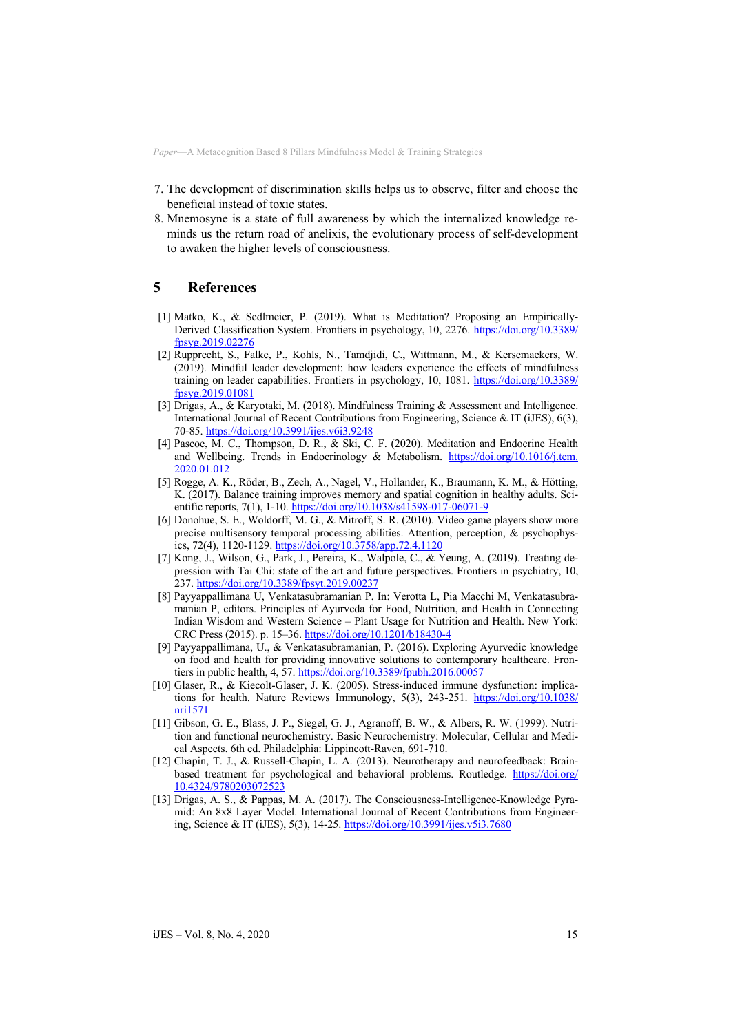- 7. The development of discrimination skills helps us to observe, filter and choose the beneficial instead of toxic states.
- 8. Mnemosyne is a state of full awareness by which the internalized knowledge reminds us the return road of anelixis, the evolutionary process of self-development to awaken the higher levels of consciousness.

# **5 References**

- [1] Matko, K., & Sedlmeier, P. (2019). What is Meditation? Proposing an Empirically-Derived Classification System. Frontiers in psychology, 10, 2276. https://doi.org/10.3389/ fpsyg.2019.02276
- [2] Rupprecht, S., Falke, P., Kohls, N., Tamdjidi, C., Wittmann, M., & Kersemaekers, W. (2019). Mindful leader development: how leaders experience the effects of mindfulness training on leader capabilities. Frontiers in psychology, 10, 1081. https://doi.org/10.3389/ fpsyg.2019.01081
- [3] Drigas, A., & Karyotaki, M. (2018). Mindfulness Training & Assessment and Intelligence. International Journal of Recent Contributions from Engineering, Science & IT (iJES), 6(3), 70-85. https://doi.org/10.3991/ijes.v6i3.9248
- [4] Pascoe, M. C., Thompson, D. R., & Ski, C. F. (2020). Meditation and Endocrine Health and Wellbeing. Trends in Endocrinology & Metabolism. https://doi.org/10.1016/j.tem. 2020.01.012
- [5] Rogge, A. K., Röder, B., Zech, A., Nagel, V., Hollander, K., Braumann, K. M., & Hötting, K. (2017). Balance training improves memory and spatial cognition in healthy adults. Scientific reports, 7(1), 1-10. https://doi.org/10.1038/s41598-017-06071-9
- [6] Donohue, S. E., Woldorff, M. G., & Mitroff, S. R. (2010). Video game players show more precise multisensory temporal processing abilities. Attention, perception, & psychophysics, 72(4), 1120-1129. https://doi.org/10.3758/app.72.4.1120
- [7] Kong, J., Wilson, G., Park, J., Pereira, K., Walpole, C., & Yeung, A. (2019). Treating depression with Tai Chi: state of the art and future perspectives. Frontiers in psychiatry, 10, 237. https://doi.org/10.3389/fpsyt.2019.00237
- [8] Payyappallimana U, Venkatasubramanian P. In: Verotta L, Pia Macchi M, Venkatasubramanian P, editors. Principles of Ayurveda for Food, Nutrition, and Health in Connecting Indian Wisdom and Western Science – Plant Usage for Nutrition and Health. New York: CRC Press (2015). p. 15–36. https://doi.org/10.1201/b18430-4
- [9] Payyappallimana, U., & Venkatasubramanian, P. (2016). Exploring Ayurvedic knowledge on food and health for providing innovative solutions to contemporary healthcare. Frontiers in public health, 4, 57. https://doi.org/10.3389/fpubh.2016.00057
- [10] Glaser, R., & Kiecolt-Glaser, J. K. (2005). Stress-induced immune dysfunction: implications for health. Nature Reviews Immunology, 5(3), 243-251. https://doi.org/10.1038/ nri1571
- [11] Gibson, G. E., Blass, J. P., Siegel, G. J., Agranoff, B. W., & Albers, R. W. (1999). Nutrition and functional neurochemistry. Basic Neurochemistry: Molecular, Cellular and Medical Aspects. 6th ed. Philadelphia: Lippincott-Raven, 691-710.
- [12] Chapin, T. J., & Russell-Chapin, L. A. (2013). Neurotherapy and neurofeedback: Brainbased treatment for psychological and behavioral problems. Routledge. https://doi.org/ 10.4324/97802030723
- [13] Drigas, A. S., & Pappas, M. A. (2017). The Consciousness-Intelligence-Knowledge Pyramid: An 8x8 Layer Model. International Journal of Recent Contributions from Engineering, Science & IT (iJES), 5(3), 14-25. https://doi.org/10.3991/ijes.v5i3.7680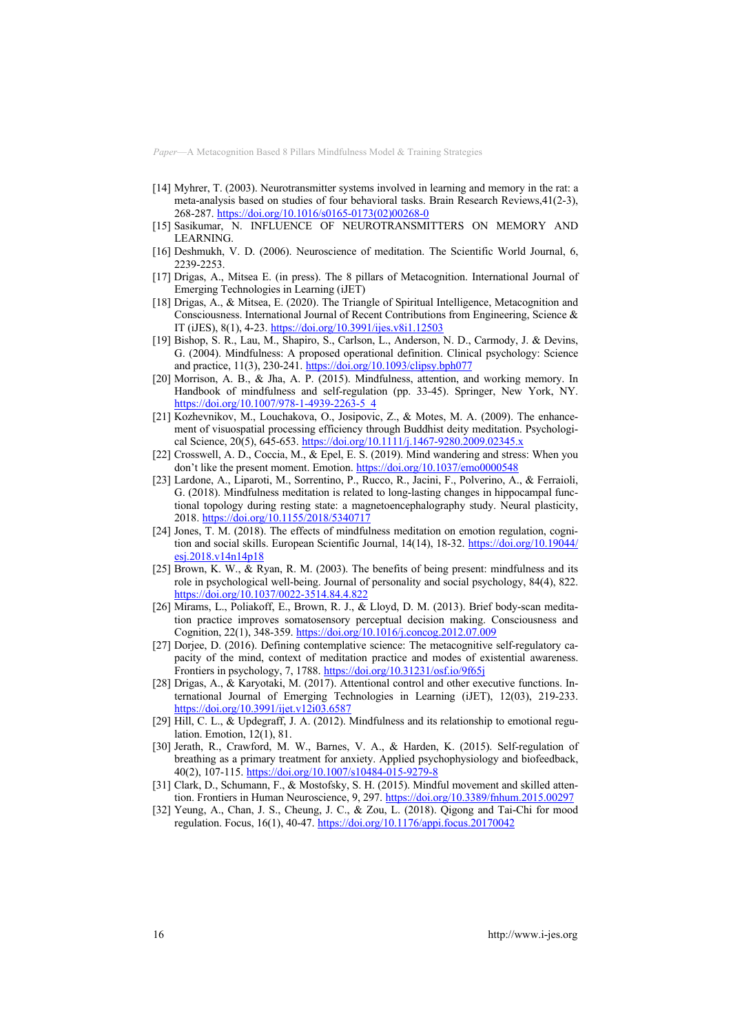- [14] Myhrer, T. (2003). Neurotransmitter systems involved in learning and memory in the rat: a meta-analysis based on studies of four behavioral tasks. Brain Research Reviews,41(2-3), 268-287. https://doi.org/10.1016/s0165-0173(02)00268-0
- [15] Sasikumar, N. INFLUENCE OF NEUROTRANSMITTERS ON MEMORY AND LEARNING.
- [16] Deshmukh, V. D. (2006). Neuroscience of meditation. The Scientific World Journal, 6, 2239-2253.
- [17] Drigas, A., Mitsea E. (in press). The 8 pillars of Metacognition. International Journal of Emerging Technologies in Learning (iJET)
- [18] Drigas, A., & Mitsea, E. (2020). The Triangle of Spiritual Intelligence, Metacognition and Consciousness. International Journal of Recent Contributions from Engineering, Science & IT (iJES), 8(1), 4-23. https://doi.org/10.3991/ijes.v8i1.12503
- [19] Bishop, S. R., Lau, M., Shapiro, S., Carlson, L., Anderson, N. D., Carmody, J. & Devins, G. (2004). Mindfulness: A proposed operational definition. Clinical psychology: Science and practice, 11(3), 230-241. https://doi.org/10.1093/clipsy.bph077
- [20] Morrison, A. B., & Jha, A. P. (2015). Mindfulness, attention, and working memory. In Handbook of mindfulness and self-regulation (pp. 33-45). Springer, New York, NY. https://doi.org/10.1007/978-1-4939-2263-5\_4
- [21] Kozhevnikov, M., Louchakova, O., Josipovic, Z., & Motes, M. A. (2009). The enhancement of visuospatial processing efficiency through Buddhist deity meditation. Psychological Science, 20(5), 645-653. https://doi.org/10.1111/j.1467-9280.2009.02345.x
- [22] Crosswell, A. D., Coccia, M., & Epel, E. S. (2019). Mind wandering and stress: When you don't like the present moment. Emotion. https://doi.org/10.1037/emo0000548
- [23] Lardone, A., Liparoti, M., Sorrentino, P., Rucco, R., Jacini, F., Polverino, A., & Ferraioli, G. (2018). Mindfulness meditation is related to long-lasting changes in hippocampal functional topology during resting state: a magnetoencephalography study. Neural plasticity, 2018. https://doi.org/10.1155/2018/5340717
- [24] Jones, T. M. (2018). The effects of mindfulness meditation on emotion regulation, cognition and social skills. European Scientific Journal, 14(14), 18-32. https://doi.org/10.19044/ esj.2018.v14n14p18
- [25] Brown, K. W., & Ryan, R. M. (2003). The benefits of being present: mindfulness and its role in psychological well-being. Journal of personality and social psychology, 84(4), 822. https://doi.org/10.1037/0022-3514.84.4.822
- [26] Mirams, L., Poliakoff, E., Brown, R. J., & Lloyd, D. M. (2013). Brief body-scan meditation practice improves somatosensory perceptual decision making. Consciousness and Cognition, 22(1), 348-359. https://doi.org/10.1016/j.concog.2012.07.009
- [27] Dorjee, D. (2016). Defining contemplative science: The metacognitive self-regulatory capacity of the mind, context of meditation practice and modes of existential awareness. Frontiers in psychology, 7, 1788. https://doi.org/10.31231/osf.io/9f65j
- [28] Drigas, A., & Karyotaki, M. (2017). Attentional control and other executive functions. International Journal of Emerging Technologies in Learning (iJET), 12(03), 219-233. https://doi.org/10.3991/ijet.v12i03.6587
- [29] Hill, C. L., & Updegraff, J. A. (2012). Mindfulness and its relationship to emotional regulation. Emotion, 12(1), 81.
- [30] Jerath, R., Crawford, M. W., Barnes, V. A., & Harden, K. (2015). Self-regulation of breathing as a primary treatment for anxiety. Applied psychophysiology and biofeedback, 40(2), 107-115. https://doi.org/10.1007/s10484-015-9279-8
- [31] Clark, D., Schumann, F., & Mostofsky, S. H. (2015). Mindful movement and skilled attention. Frontiers in Human Neuroscience, 9, 297. https://doi.org/10.3389/fnhum.2015.00297
- [32] Yeung, A., Chan, J. S., Cheung, J. C., & Zou, L. (2018). Qigong and Tai-Chi for mood regulation. Focus, 16(1), 40-47. https://doi.org/10.1176/appi.focus.20170042